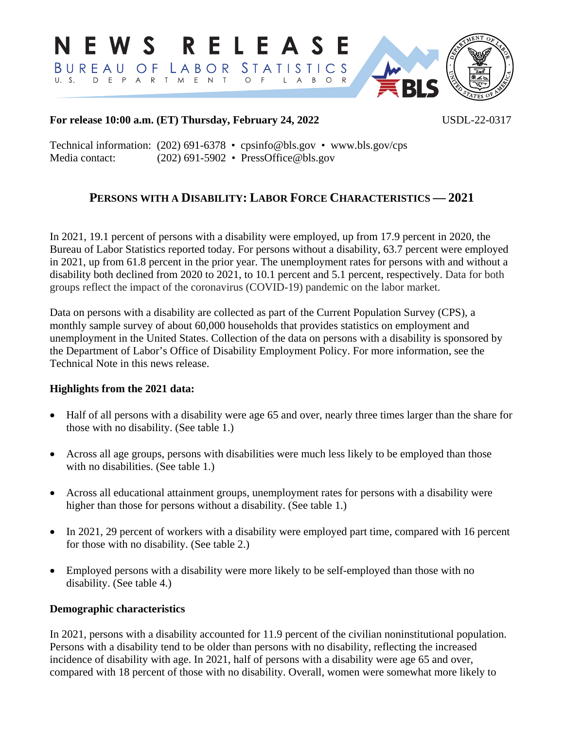N E W S R E L E A S E BUREAU OF LABOR STATISTICS U. S. D E P A R T M E N T O F  $L$  A  $B$  $O$  R **RLS** 

# **For release 10:00 a.m. (ET) Thursday, February 24, 2022** USDL-22-0317

Technical information: (202) 691-6378 • cpsinfo@bls.gov • www.bls.gov/cps Media contact: (202) 691-5902 • PressOffice@bls.gov

# **PERSONS WITH A DISABILITY: LABOR FORCE CHARACTERISTICS — 2021**

In 2021, 19.1 percent of persons with a disability were employed, up from 17.9 percent in 2020, the Bureau of Labor Statistics reported today. For persons without a disability, 63.7 percent were employed in 2021, up from 61.8 percent in the prior year. The unemployment rates for persons with and without a disability both declined from 2020 to 2021, to 10.1 percent and 5.1 percent, respectively. Data for both groups reflect the impact of the coronavirus (COVID-19) pandemic on the labor market.

Data on persons with a disability are collected as part of the Current Population Survey (CPS), a monthly sample survey of about 60,000 households that provides statistics on employment and unemployment in the United States. Collection of the data on persons with a disability is sponsored by the Department of Labor's Office of Disability Employment Policy. For more information, see the Technical Note in this news release.

# **Highlights from the 2021 data:**

- Half of all persons with a disability were age 65 and over, nearly three times larger than the share for those with no disability. (See table 1.)
- Across all age groups, persons with disabilities were much less likely to be employed than those with no disabilities. (See table 1.)
- Across all educational attainment groups, unemployment rates for persons with a disability were higher than those for persons without a disability. (See table 1.)
- In 2021, 29 percent of workers with a disability were employed part time, compared with 16 percent for those with no disability. (See table 2.)
- Employed persons with a disability were more likely to be self-employed than those with no disability. (See table 4.)

# **Demographic characteristics**

In 2021, persons with a disability accounted for 11.9 percent of the civilian noninstitutional population. Persons with a disability tend to be older than persons with no disability, reflecting the increased incidence of disability with age. In 2021, half of persons with a disability were age 65 and over, compared with 18 percent of those with no disability. Overall, women were somewhat more likely to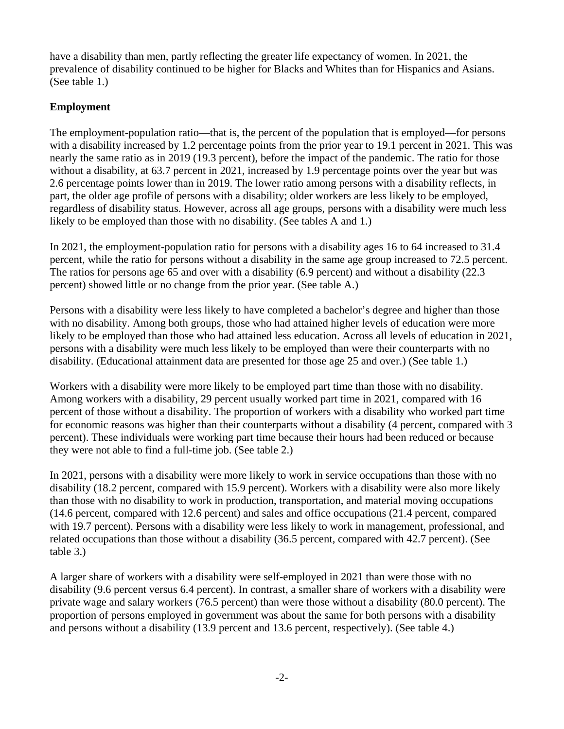have a disability than men, partly reflecting the greater life expectancy of women. In 2021, the prevalence of disability continued to be higher for Blacks and Whites than for Hispanics and Asians. (See table 1.)

# **Employment**

The employment-population ratio—that is, the percent of the population that is employed—for persons with a disability increased by 1.2 percentage points from the prior year to 19.1 percent in 2021. This was nearly the same ratio as in 2019 (19.3 percent), before the impact of the pandemic. The ratio for those without a disability, at 63.7 percent in 2021, increased by 1.9 percentage points over the year but was 2.6 percentage points lower than in 2019. The lower ratio among persons with a disability reflects, in part, the older age profile of persons with a disability; older workers are less likely to be employed, regardless of disability status. However, across all age groups, persons with a disability were much less likely to be employed than those with no disability. (See tables A and 1.)

In 2021, the employment-population ratio for persons with a disability ages 16 to 64 increased to 31.4 percent, while the ratio for persons without a disability in the same age group increased to 72.5 percent. The ratios for persons age 65 and over with a disability (6.9 percent) and without a disability (22.3 percent) showed little or no change from the prior year. (See table A.)

Persons with a disability were less likely to have completed a bachelor's degree and higher than those with no disability. Among both groups, those who had attained higher levels of education were more likely to be employed than those who had attained less education. Across all levels of education in 2021, persons with a disability were much less likely to be employed than were their counterparts with no disability. (Educational attainment data are presented for those age 25 and over.) (See table 1.)

Workers with a disability were more likely to be employed part time than those with no disability. Among workers with a disability, 29 percent usually worked part time in 2021, compared with 16 percent of those without a disability. The proportion of workers with a disability who worked part time for economic reasons was higher than their counterparts without a disability (4 percent, compared with 3 percent). These individuals were working part time because their hours had been reduced or because they were not able to find a full-time job. (See table 2.)

In 2021, persons with a disability were more likely to work in service occupations than those with no disability (18.2 percent, compared with 15.9 percent). Workers with a disability were also more likely than those with no disability to work in production, transportation, and material moving occupations (14.6 percent, compared with 12.6 percent) and sales and office occupations (21.4 percent, compared with 19.7 percent). Persons with a disability were less likely to work in management, professional, and related occupations than those without a disability (36.5 percent, compared with 42.7 percent). (See table 3.)

A larger share of workers with a disability were self-employed in 2021 than were those with no disability (9.6 percent versus 6.4 percent). In contrast, a smaller share of workers with a disability were private wage and salary workers (76.5 percent) than were those without a disability (80.0 percent). The proportion of persons employed in government was about the same for both persons with a disability and persons without a disability (13.9 percent and 13.6 percent, respectively). (See table 4.)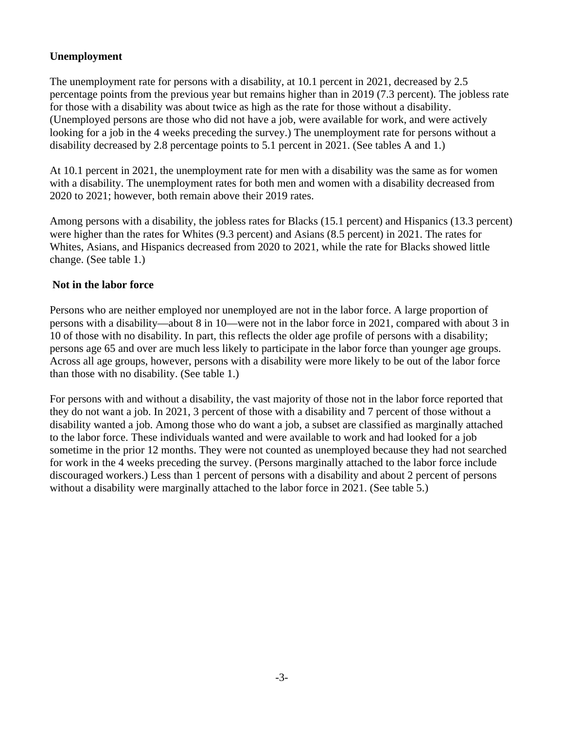# **Unemployment**

The unemployment rate for persons with a disability, at 10.1 percent in 2021, decreased by 2.5 percentage points from the previous year but remains higher than in 2019 (7.3 percent). The jobless rate for those with a disability was about twice as high as the rate for those without a disability. (Unemployed persons are those who did not have a job, were available for work, and were actively looking for a job in the 4 weeks preceding the survey.) The unemployment rate for persons without a disability decreased by 2.8 percentage points to 5.1 percent in 2021. (See tables A and 1.)

At 10.1 percent in 2021, the unemployment rate for men with a disability was the same as for women with a disability. The unemployment rates for both men and women with a disability decreased from 2020 to 2021; however, both remain above their 2019 rates.

Among persons with a disability, the jobless rates for Blacks (15.1 percent) and Hispanics (13.3 percent) were higher than the rates for Whites (9.3 percent) and Asians (8.5 percent) in 2021. The rates for Whites, Asians, and Hispanics decreased from 2020 to 2021, while the rate for Blacks showed little change. (See table 1.)

# **Not in the labor force**

Persons who are neither employed nor unemployed are not in the labor force. A large proportion of persons with a disability—about 8 in 10—were not in the labor force in 2021, compared with about 3 in 10 of those with no disability. In part, this reflects the older age profile of persons with a disability; persons age 65 and over are much less likely to participate in the labor force than younger age groups. Across all age groups, however, persons with a disability were more likely to be out of the labor force than those with no disability. (See table 1.)

For persons with and without a disability, the vast majority of those not in the labor force reported that they do not want a job. In 2021, 3 percent of those with a disability and 7 percent of those without a disability wanted a job. Among those who do want a job, a subset are classified as marginally attached to the labor force. These individuals wanted and were available to work and had looked for a job sometime in the prior 12 months. They were not counted as unemployed because they had not searched for work in the 4 weeks preceding the survey. (Persons marginally attached to the labor force include discouraged workers.) Less than 1 percent of persons with a disability and about 2 percent of persons without a disability were marginally attached to the labor force in 2021. (See table 5.)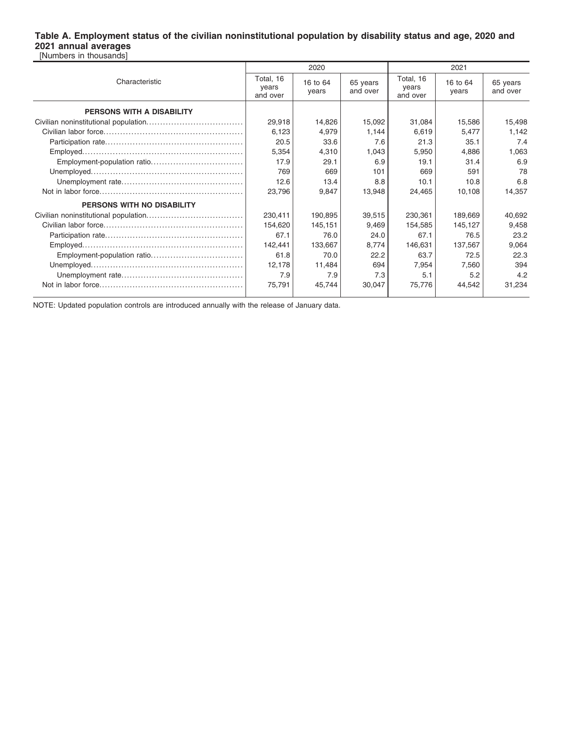### **Table A. Employment status of the civilian noninstitutional population by disability status and age, 2020 and 2021 annual averages** [Numbers in thousands]

|                                   |                                | 2020              |                      | 2021                           |                   |                      |
|-----------------------------------|--------------------------------|-------------------|----------------------|--------------------------------|-------------------|----------------------|
| Characteristic                    | Total, 16<br>years<br>and over | 16 to 64<br>years | 65 years<br>and over | Total, 16<br>years<br>and over | 16 to 64<br>years | 65 years<br>and over |
| PERSONS WITH A DISABILITY         |                                |                   |                      |                                |                   |                      |
|                                   | 29,918                         | 14,826            | 15,092               | 31,084                         | 15,586            | 15,498               |
|                                   | 6,123                          | 4,979             | 1.144                | 6,619                          | 5,477             | 1,142                |
|                                   | 20.5                           | 33.6              | 7.6                  | 21.3                           | 35.1              | 7.4                  |
|                                   | 5,354                          | 4,310             | 1,043                | 5,950                          | 4,886             | 1,063                |
|                                   | 17.9                           | 29.1              | 6.9                  | 19.1                           | 31.4              | 6.9                  |
|                                   | 769                            | 669               | 101                  | 669                            | 591               | 78                   |
|                                   | 12.6                           | 13.4              | 8.8                  | 10.1                           | 10.8              | 6.8                  |
|                                   | 23,796                         | 9,847             | 13,948               | 24,465                         | 10,108            | 14,357               |
| <b>PERSONS WITH NO DISABILITY</b> |                                |                   |                      |                                |                   |                      |
|                                   | 230,411                        | 190,895           | 39,515               | 230,361                        | 189,669           | 40,692               |
|                                   | 154,620                        | 145,151           | 9,469                | 154,585                        | 145,127           | 9,458                |
|                                   | 67.1                           | 76.0              | 24.0                 | 67.1                           | 76.5              | 23.2                 |
|                                   | 142,441                        | 133,667           | 8,774                | 146,631                        | 137,567           | 9,064                |
|                                   | 61.8                           | 70.0              | 22.2                 | 63.7                           | 72.5              | 22.3                 |
|                                   | 12,178                         | 11,484            | 694                  | 7,954                          | 7,560             | 394                  |
|                                   | 7.9                            | 7.9               | 7.3                  | 5.1                            | 5.2               | 4.2                  |
|                                   | 75,791                         | 45,744            | 30,047               | 75,776                         | 44,542            | 31,234               |

NOTE: Updated population controls are introduced annually with the release of January data.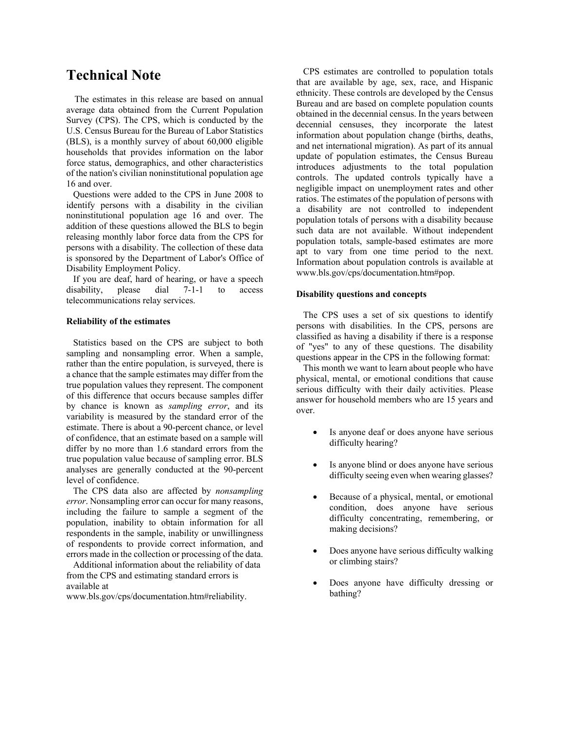# **Technical Note**

 The estimates in this release are based on annual average data obtained from the Current Population Survey (CPS). The CPS, which is conducted by the U.S. Census Bureau for the Bureau of Labor Statistics (BLS), is a monthly survey of about 60,000 eligible households that provides information on the labor force status, demographics, and other characteristics of the nation's civilian noninstitutional population age 16 and over.

 Questions were added to the CPS in June 2008 to identify persons with a disability in the civilian noninstitutional population age 16 and over. The addition of these questions allowed the BLS to begin releasing monthly labor force data from the CPS for persons with a disability. The collection of these data is sponsored by the Department of Labor's Office of Disability Employment Policy.

 If you are deaf, hard of hearing, or have a speech disability, please dial 7-1-1 to access telecommunications relay services.

#### **Reliability of the estimates**

 Statistics based on the CPS are subject to both sampling and nonsampling error. When a sample, rather than the entire population, is surveyed, there is a chance that the sample estimates may differ from the true population values they represent. The component of this difference that occurs because samples differ by chance is known as *sampling error*, and its variability is measured by the standard error of the estimate. There is about a 90-percent chance, or level of confidence, that an estimate based on a sample will differ by no more than 1.6 standard errors from the true population value because of sampling error. BLS analyses are generally conducted at the 90-percent level of confidence.

 The CPS data also are affected by *nonsampling error*. Nonsampling error can occur for many reasons, including the failure to sample a segment of the population, inability to obtain information for all respondents in the sample, inability or unwillingness of respondents to provide correct information, and errors made in the collection or processing of the data.

 Additional information about the reliability of data from the CPS and estimating standard errors is available at

www.bls.gov/cps/documentation.htm#reliability.

 CPS estimates are controlled to population totals that are available by age, sex, race, and Hispanic ethnicity. These controls are developed by the Census Bureau and are based on complete population counts obtained in the decennial census. In the years between decennial censuses, they incorporate the latest information about population change (births, deaths, and net international migration). As part of its annual update of population estimates, the Census Bureau introduces adjustments to the total population controls. The updated controls typically have a negligible impact on unemployment rates and other ratios. The estimates of the population of persons with a disability are not controlled to independent population totals of persons with a disability because such data are not available. Without independent population totals, sample-based estimates are more apt to vary from one time period to the next. Information about population controls is available at www.bls.gov/cps/documentation.htm#pop.

#### **Disability questions and concepts**

 The CPS uses a set of six questions to identify persons with disabilities. In the CPS, persons are classified as having a disability if there is a response of "yes" to any of these questions. The disability questions appear in the CPS in the following format:

 This month we want to learn about people who have physical, mental, or emotional conditions that cause serious difficulty with their daily activities. Please answer for household members who are 15 years and over.

- Is anyone deaf or does anyone have serious difficulty hearing?
- Is anyone blind or does anyone have serious difficulty seeing even when wearing glasses?
- Because of a physical, mental, or emotional condition, does anyone have serious difficulty concentrating, remembering, or making decisions?
- Does anyone have serious difficulty walking or climbing stairs?
- Does anyone have difficulty dressing or bathing?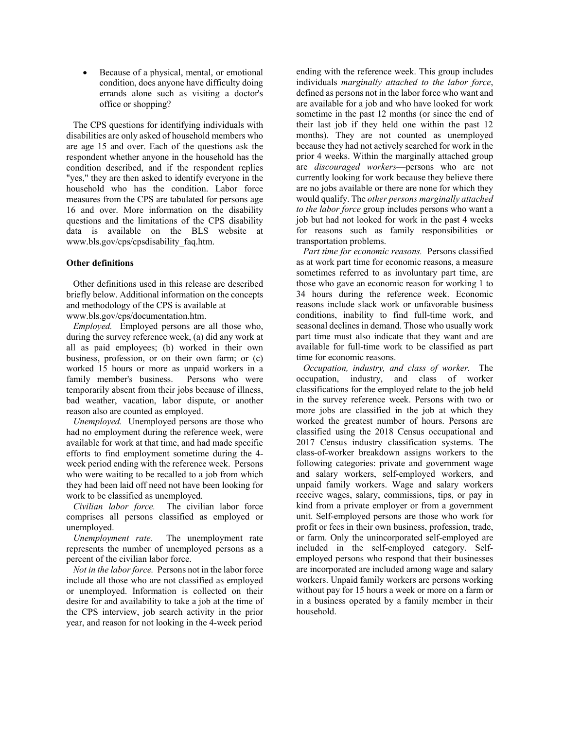• Because of a physical, mental, or emotional condition, does anyone have difficulty doing errands alone such as visiting a doctor's office or shopping?

 The CPS questions for identifying individuals with disabilities are only asked of household members who are age 15 and over. Each of the questions ask the respondent whether anyone in the household has the condition described, and if the respondent replies "yes," they are then asked to identify everyone in the household who has the condition. Labor force measures from the CPS are tabulated for persons age 16 and over. More information on the disability questions and the limitations of the CPS disability data is available on the BLS website at www.bls.gov/cps/cpsdisability\_faq.htm.

### **Other definitions**

 Other definitions used in this release are described briefly below. Additional information on the concepts and methodology of the CPS is available at www.bls.gov/cps/documentation.htm.

 *Employed.* Employed persons are all those who, during the survey reference week, (a) did any work at all as paid employees; (b) worked in their own business, profession, or on their own farm; or (c) worked 15 hours or more as unpaid workers in a family member's business. Persons who were temporarily absent from their jobs because of illness,

bad weather, vacation, labor dispute, or another reason also are counted as employed. *Unemployed.* Unemployed persons are those who

had no employment during the reference week, were available for work at that time, and had made specific efforts to find employment sometime during the 4 week period ending with the reference week. Persons who were waiting to be recalled to a job from which they had been laid off need not have been looking for work to be classified as unemployed.

 *Civilian labor force.* The civilian labor force comprises all persons classified as employed or unemployed.

 *Unemployment rate.* The unemployment rate represents the number of unemployed persons as a percent of the civilian labor force.

 *Not in the labor force.* Persons not in the labor force include all those who are not classified as employed or unemployed. Information is collected on their desire for and availability to take a job at the time of the CPS interview, job search activity in the prior year, and reason for not looking in the 4-week period

ending with the reference week. This group includes individuals *marginally attached to the labor force*, defined as persons not in the labor force who want and are available for a job and who have looked for work sometime in the past 12 months (or since the end of their last job if they held one within the past 12 months). They are not counted as unemployed because they had not actively searched for work in the prior 4 weeks. Within the marginally attached group are *discouraged workers*—persons who are not currently looking for work because they believe there are no jobs available or there are none for which they would qualify. The *other persons marginally attached to the labor force* group includes persons who want a job but had not looked for work in the past 4 weeks for reasons such as family responsibilities or transportation problems.

 *Part time for economic reasons.* Persons classified as at work part time for economic reasons, a measure sometimes referred to as involuntary part time, are those who gave an economic reason for working 1 to 34 hours during the reference week. Economic reasons include slack work or unfavorable business conditions, inability to find full-time work, and seasonal declines in demand. Those who usually work part time must also indicate that they want and are available for full-time work to be classified as part time for economic reasons.

 *Occupation, industry, and class of worker.* The occupation, industry, and class of worker classifications for the employed relate to the job held in the survey reference week. Persons with two or more jobs are classified in the job at which they worked the greatest number of hours. Persons are classified using the 2018 Census occupational and 2017 Census industry classification systems. The class-of-worker breakdown assigns workers to the following categories: private and government wage and salary workers, self-employed workers, and unpaid family workers. Wage and salary workers receive wages, salary, commissions, tips, or pay in kind from a private employer or from a government unit. Self-employed persons are those who work for profit or fees in their own business, profession, trade, or farm. Only the unincorporated self-employed are included in the self-employed category. Selfemployed persons who respond that their businesses are incorporated are included among wage and salary workers. Unpaid family workers are persons working without pay for 15 hours a week or more on a farm or in a business operated by a family member in their household.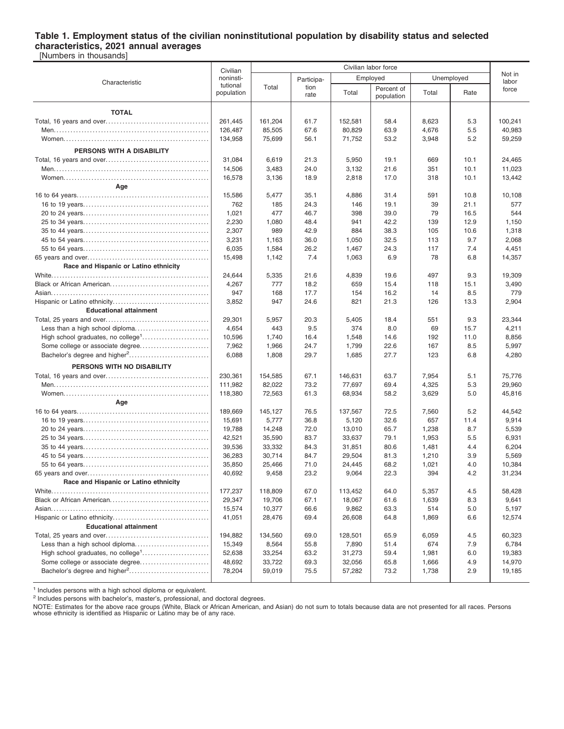### **Table 1. Employment status of the civilian noninstitutional population by disability status and selected characteristics, 2021 annual averages**

[Numbers in thousands]

|                                           | Civilian               | Civilian labor force |              |         |                          |       |            |                 |
|-------------------------------------------|------------------------|----------------------|--------------|---------|--------------------------|-------|------------|-----------------|
|                                           | noninsti-              |                      | Participa-   |         | Employed                 |       | Unemployed | Not in<br>labor |
| Characteristic                            | tutional<br>population | Total                | tion<br>rate | Total   | Percent of<br>population | Total | Rate       | force           |
|                                           |                        |                      |              |         |                          |       |            |                 |
| <b>TOTAL</b>                              |                        |                      |              |         |                          |       |            |                 |
|                                           | 261,445                | 161,204              | 61.7         | 152,581 | 58.4                     | 8,623 | 5.3        | 100,241         |
|                                           | 126,487                | 85,505               | 67.6         | 80,829  | 63.9                     | 4,676 | 5.5        | 40,983          |
|                                           | 134,958                | 75,699               | 56.1         | 71,752  | 53.2                     | 3,948 | 5.2        | 59,259          |
| PERSONS WITH A DISABILITY                 |                        |                      |              |         |                          |       |            |                 |
|                                           | 31,084                 | 6,619                | 21.3         | 5,950   | 19.1                     | 669   | 10.1       | 24,465          |
|                                           | 14,506                 | 3,483                | 24.0         | 3,132   | 21.6                     | 351   | 10.1       | 11,023          |
|                                           | 16,578                 | 3,136                | 18.9         | 2,818   | 17.0                     | 318   | 10.1       | 13,442          |
| Age                                       |                        |                      |              |         |                          |       |            |                 |
|                                           | 15,586                 | 5,477                | 35.1         | 4,886   | 31.4                     | 591   | 10.8       | 10,108          |
|                                           | 762                    | 185                  | 24.3         | 146     | 19.1                     | 39    | 21.1       | 577             |
|                                           | 1,021                  | 477                  | 46.7         | 398     | 39.0                     | 79    | 16.5       | 544             |
|                                           | 2,230                  | 1,080                | 48.4         | 941     | 42.2                     | 139   | 12.9       | 1,150           |
|                                           | 2,307                  | 989                  | 42.9         | 884     | 38.3                     | 105   | 10.6       | 1,318           |
|                                           | 3,231                  | 1,163                | 36.0         | 1,050   | 32.5                     | 113   | 9.7        | 2,068           |
|                                           | 6,035                  | 1,584                | 26.2         | 1,467   | 24.3                     | 117   | 7.4        | 4,451           |
|                                           | 15,498                 | 1,142                | 7.4          | 1,063   | 6.9                      | 78    | 6.8        | 14,357          |
| Race and Hispanic or Latino ethnicity     |                        |                      |              |         |                          |       |            |                 |
|                                           | 24,644                 | 5,335                | 21.6         | 4,839   | 19.6                     | 497   | 9.3        | 19,309          |
|                                           | 4,267                  | 777                  | 18.2         | 659     | 15.4                     | 118   | 15.1       | 3,490           |
|                                           | 947                    | 168                  | 17.7         | 154     | 16.2                     | 14    | 8.5        | 779             |
|                                           | 3,852                  | 947                  | 24.6         | 821     | 21.3                     | 126   | 13.3       | 2,904           |
| <b>Educational attainment</b>             |                        |                      |              |         |                          |       |            |                 |
|                                           | 29,301                 | 5,957                | 20.3         | 5,405   | 18.4                     | 551   | 9.3        | 23,344          |
| Less than a high school diploma           | 4,654                  | 443                  | 9.5          | 374     | 8.0                      | 69    | 15.7       | 4,211           |
|                                           | 10,596                 | 1,740                | 16.4         | 1,548   | 14.6                     | 192   | 11.0       | 8,856           |
|                                           | 7,962                  | 1,966                | 24.7         | 1,799   | 22.6                     | 167   | 8.5        | 5,997           |
| Bachelor's degree and higher <sup>2</sup> | 6,088                  | 1,808                | 29.7         | 1,685   | 27.7                     | 123   | 6.8        | 4,280           |
|                                           |                        |                      |              |         |                          |       |            |                 |
| PERSONS WITH NO DISABILITY                |                        |                      |              |         |                          |       |            |                 |
|                                           | 230,361                | 154,585              | 67.1         | 146,631 | 63.7                     | 7,954 | 5.1        | 75,776          |
|                                           | 111,982                | 82,022               | 73.2         | 77,697  | 69.4                     | 4,325 | 5.3        | 29,960          |
|                                           | 118,380                | 72,563               | 61.3         | 68,934  | 58.2                     | 3,629 | 5.0        | 45,816          |
| Age                                       |                        |                      |              |         |                          |       |            |                 |
|                                           | 189,669                | 145,127              | 76.5         | 137,567 | 72.5                     | 7,560 | 5.2        | 44,542          |
|                                           | 15,691                 | 5,777                | 36.8         | 5,120   | 32.6                     | 657   | 11.4       | 9,914           |
|                                           | 19,788                 | 14,248               | 72.0         | 13,010  | 65.7                     | 1,238 | 8.7        | 5,539           |
|                                           | 42,521                 | 35,590               | 83.7         | 33,637  | 79.1                     | 1,953 | 5.5        | 6,931           |
|                                           | 39,536                 | 33,332               | 84.3         | 31,851  | 80.6                     | 1,481 | 4.4        | 6,204           |
|                                           | 36,283                 | 30,714               | 84.7         | 29,504  | 81.3                     | 1,210 | 3.9        | 5,569           |
|                                           | 35,850                 | 25,466               | 71.0         | 24,445  | 68.2                     | 1,021 | 4.0        | 10,384          |
|                                           | 40,692                 | 9,458                | 23.2         | 9,064   | 22.3                     | 394   | 4.2        | 31,234          |
| Race and Hispanic or Latino ethnicity     |                        |                      |              |         |                          |       |            |                 |
|                                           | 177,237                | 118,809              | 67.0         | 113,452 | 64.0                     | 5,357 | 4.5        | 58,428          |
|                                           | 29,347                 | 19,706               | 67.1         | 18,067  | 61.6                     | 1,639 | 8.3        | 9,641           |
|                                           | 15,574                 | 10,377               | 66.6         | 9,862   | 63.3                     | 514   | 5.0        | 5,197           |
|                                           | 41,051                 | 28,476               | 69.4         | 26,608  | 64.8                     | 1,869 | 6.6        | 12,574          |
| <b>Educational attainment</b>             |                        |                      |              |         |                          |       |            |                 |
|                                           | 194,882                | 134,560              | 69.0         | 128,501 | 65.9                     | 6,059 | 4.5        | 60,323          |
|                                           | 15,349                 | 8,564                | 55.8         | 7,890   | 51.4                     | 674   | 7.9        | 6,784           |
|                                           | 52,638                 | 33,254               | 63.2         | 31,273  | 59.4                     | 1,981 | 6.0        | 19,383          |
|                                           | 48,692                 | 33,722               | 69.3         | 32,056  | 65.8                     | 1,666 | 4.9        | 14,970          |
| Bachelor's degree and higher <sup>2</sup> | 78,204                 | 59,019               | 75.5         | 57,282  | 73.2                     | 1,738 | 2.9        | 19,185          |
|                                           |                        |                      |              |         |                          |       |            |                 |

<sup>1</sup> Includes persons with a high school diploma or equivalent.

<sup>2</sup> Includes persons with bachelor's, master's, professional, and doctoral degrees.

NOTE: Estimates for the above race groups (White, Black or African American, and Asian) do not sum to totals because data are not presented for all races. Persons<br>whose ethnicity is identified as Hispanic or Latino may be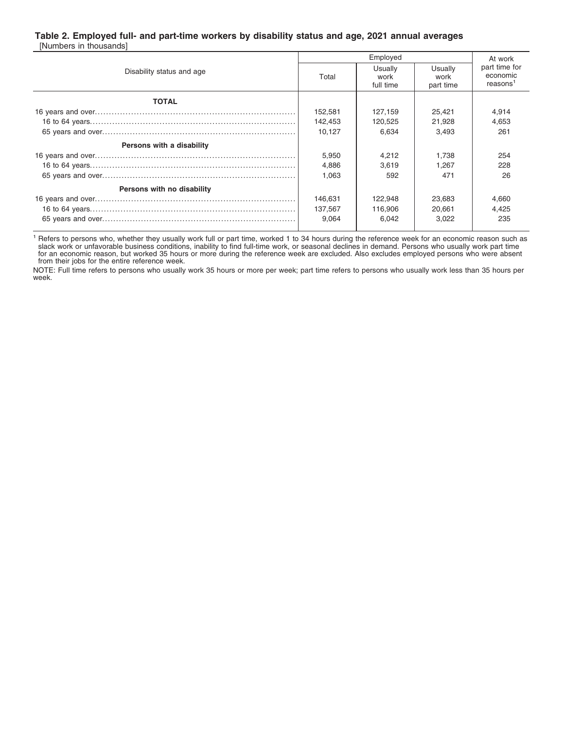### **Table 2. Employed full- and part-time workers by disability status and age, 2021 annual averages**

[Numbers in thousands]

|                            |         | At work                      |                              |                                                   |
|----------------------------|---------|------------------------------|------------------------------|---------------------------------------------------|
| Disability status and age  | Total   | Usually<br>work<br>full time | Usually<br>work<br>part time | part time for<br>economic<br>reasons <sup>1</sup> |
| <b>TOTAL</b>               |         |                              |                              |                                                   |
|                            | 152.581 | 127,159                      | 25.421                       | 4.914                                             |
|                            | 142,453 | 120,525                      | 21,928                       | 4,653                                             |
|                            | 10.127  | 6.634                        | 3.493                        | 261                                               |
| Persons with a disability  |         |                              |                              |                                                   |
|                            | 5,950   | 4,212                        | 1.738                        | 254                                               |
|                            | 4.886   | 3.619                        | 1.267                        | 228                                               |
|                            | 1.063   | 592                          | 471                          | 26                                                |
| Persons with no disability |         |                              |                              |                                                   |
|                            | 146.631 | 122.948                      | 23,683                       | 4,660                                             |
|                            | 137.567 | 116,906                      | 20.661                       | 4.425                                             |
|                            | 9.064   | 6.042                        | 3.022                        | 235                                               |

<sup>1</sup> Refers to persons who, whether they usually work full or part time, worked 1 to 34 hours during the reference week for an economic reason such as<br>slack work or unfavorable business conditions, inability to find full-ti from their jobs for the entire reference week.

NOTE: Full time refers to persons who usually work 35 hours or more per week; part time refers to persons who usually work less than 35 hours per week.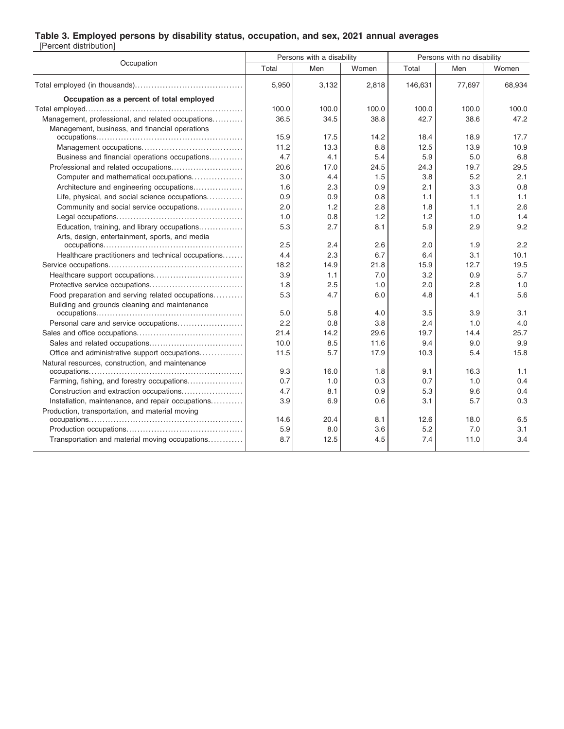### **Table 3. Employed persons by disability status, occupation, and sex, 2021 annual averages**

[Percent distribution]

| Occupation                                         | Persons with a disability |       |       | Persons with no disability |        |        |
|----------------------------------------------------|---------------------------|-------|-------|----------------------------|--------|--------|
|                                                    | Total                     | Men   | Women | Total                      | Men    | Women  |
|                                                    | 5,950                     | 3,132 | 2,818 | 146,631                    | 77,697 | 68,934 |
| Occupation as a percent of total employed          |                           |       |       |                            |        |        |
|                                                    | 100.0                     | 100.0 | 100.0 | 100.0                      | 100.0  | 100.0  |
| Management, professional, and related occupations  | 36.5                      | 34.5  | 38.8  | 42.7                       | 38.6   | 47.2   |
| Management, business, and financial operations     | 15.9                      | 17.5  | 14.2  | 18.4                       | 18.9   | 17.7   |
|                                                    | 11.2                      | 13.3  | 8.8   | 12.5                       | 13.9   | 10.9   |
| Business and financial operations occupations      | 4.7                       | 4.1   | 5.4   | 5.9                        | 5.0    | 6.8    |
|                                                    | 20.6                      | 17.0  | 24.5  | 24.3                       | 19.7   | 29.5   |
| Computer and mathematical occupations              | 3.0                       | 4.4   | 1.5   | 3.8                        | 5.2    | 2.1    |
| Architecture and engineering occupations           | 1.6                       | 2.3   | 0.9   | 2.1                        | 3.3    | 0.8    |
| Life, physical, and social science occupations     | 0.9                       | 0.9   | 0.8   | 1.1                        | 1.1    | 1.1    |
| Community and social service occupations           | 2.0                       | 1.2   | 2.8   | 1.8                        | 1.1    | 2.6    |
|                                                    | 1.0                       | 0.8   | 1.2   | 1.2                        | 1.0    | 1.4    |
| Education, training, and library occupations       | 5.3                       | 2.7   | 8.1   | 5.9                        | 2.9    | 9.2    |
| Arts, design, entertainment, sports, and media     | 2.5                       | 2.4   | 2.6   | 2.0                        | 1.9    | 2.2    |
| Healthcare practitioners and technical occupations | 4.4                       | 2.3   | 6.7   | 6.4                        | 3.1    | 10.1   |
|                                                    | 18.2                      | 14.9  | 21.8  | 15.9                       | 12.7   | 19.5   |
|                                                    | 3.9                       | 1.1   | 7.0   | 3.2                        | 0.9    | 5.7    |
|                                                    | 1.8                       | 2.5   | 1.0   | 2.0                        | 2.8    | 1.0    |
| Food preparation and serving related occupations   | 5.3                       | 4.7   | 6.0   | 4.8                        | 4.1    | 5.6    |
| Building and grounds cleaning and maintenance      | 5.0                       | 5.8   | 4.0   | 3.5                        | 3.9    | 3.1    |
| Personal care and service occupations              | 2.2                       | 0.8   | 3.8   | 2.4                        | 1.0    | 4.0    |
|                                                    | 21.4                      | 14.2  | 29.6  | 19.7                       | 14.4   | 25.7   |
|                                                    | 10.0                      | 8.5   | 11.6  | 9.4                        | 9.0    | 9.9    |
| Office and administrative support occupations      | 11.5                      | 5.7   | 17.9  | 10.3                       | 5.4    | 15.8   |
| Natural resources, construction, and maintenance   |                           |       |       |                            |        |        |
|                                                    | 9.3                       | 16.0  | 1.8   | 9.1                        | 16.3   | 1.1    |
| Farming, fishing, and forestry occupations         | 0.7                       | 1.0   | 0.3   | 0.7                        | 1.0    | 0.4    |
| Construction and extraction occupations            | 4.7                       | 8.1   | 0.9   | 5.3                        | 9.6    | 0.4    |
| Installation, maintenance, and repair occupations  | 3.9                       | 6.9   | 0.6   | 3.1                        | 5.7    | 0.3    |
| Production, transportation, and material moving    | 14.6                      | 20.4  | 8.1   | 12.6                       | 18.0   | 6.5    |
|                                                    | 5.9                       | 8.0   | 3.6   | 5.2                        | 7.0    | 3.1    |
| Transportation and material moving occupations     | 8.7                       | 12.5  | 4.5   | 7.4                        | 11.0   | 3.4    |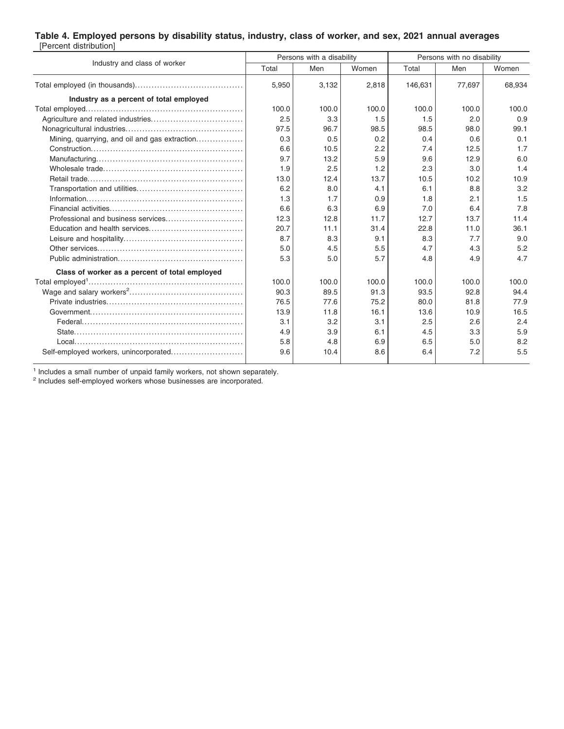### **Table 4. Employed persons by disability status, industry, class of worker, and sex, 2021 annual averages** [Percent distribution]

|                                                |       | Persons with a disability |       | Persons with no disability |        |        |
|------------------------------------------------|-------|---------------------------|-------|----------------------------|--------|--------|
| Industry and class of worker                   | Total | Men                       | Women | Total                      | Men    | Women  |
|                                                | 5,950 | 3.132                     | 2,818 | 146,631                    | 77.697 | 68,934 |
| Industry as a percent of total employed        |       |                           |       |                            |        |        |
|                                                | 100.0 | 100.0                     | 100.0 | 100.0                      | 100.0  | 100.0  |
|                                                | 2.5   | 3.3                       | 1.5   | 1.5                        | 2.0    | 0.9    |
|                                                | 97.5  | 96.7                      | 98.5  | 98.5                       | 98.0   | 99.1   |
| Mining, quarrying, and oil and gas extraction  | 0.3   | 0.5                       | 0.2   | 0.4                        | 0.6    | 0.1    |
|                                                | 6.6   | 10.5                      | 2.2   | 7.4                        | 12.5   | 1.7    |
|                                                | 9.7   | 13.2                      | 5.9   | 9.6                        | 12.9   | 6.0    |
|                                                | 1.9   | 2.5                       | 1.2   | 2.3                        | 3.0    | 1.4    |
|                                                | 13.0  | 12.4                      | 13.7  | 10.5                       | 10.2   | 10.9   |
|                                                | 6.2   | 8.0                       | 4.1   | 6.1                        | 8.8    | 3.2    |
|                                                | 1.3   | 1.7                       | 0.9   | 1.8                        | 2.1    | 1.5    |
|                                                | 6.6   | 6.3                       | 6.9   | 7.0                        | 6.4    | 7.8    |
|                                                | 12.3  | 12.8                      | 11.7  | 12.7                       | 13.7   | 11.4   |
|                                                | 20.7  | 11.1                      | 31.4  | 22.8                       | 11.0   | 36.1   |
|                                                | 8.7   | 8.3                       | 9.1   | 8.3                        | 7.7    | 9.0    |
|                                                | 5.0   | 4.5                       | 5.5   | 4.7                        | 4.3    | 5.2    |
|                                                | 5.3   | 5.0                       | 5.7   | 4.8                        | 4.9    | 4.7    |
| Class of worker as a percent of total employed |       |                           |       |                            |        |        |
|                                                | 100.0 | 100.0                     | 100.0 | 100.0                      | 100.0  | 100.0  |
|                                                | 90.3  | 89.5                      | 91.3  | 93.5                       | 92.8   | 94.4   |
|                                                | 76.5  | 77.6                      | 75.2  | 80.0                       | 81.8   | 77.9   |
|                                                | 13.9  | 11.8                      | 16.1  | 13.6                       | 10.9   | 16.5   |
|                                                | 3.1   | 3.2                       | 3.1   | 2.5                        | 2.6    | 2.4    |
|                                                | 4.9   | 3.9                       | 6.1   | 4.5                        | 3.3    | 5.9    |
|                                                | 5.8   | 4.8                       | 6.9   | 6.5                        | 5.0    | 8.2    |
|                                                | 9.6   | 10.4                      | 8.6   | 6.4                        | 7.2    | 5.5    |

<sup>1</sup> Includes a small number of unpaid family workers, not shown separately.

<sup>2</sup> Includes self-employed workers whose businesses are incorporated.